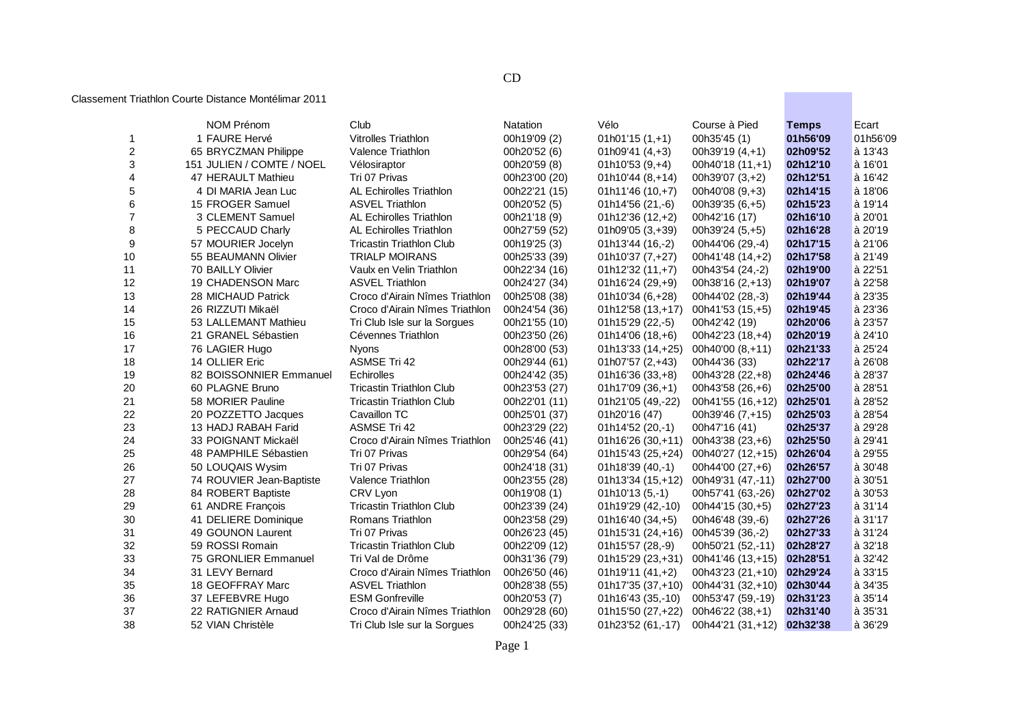## CD

## Classement Triathlon Courte Distance Montélimar 2011

|                  | NOM Prénom                | Club                            | <b>Natation</b> | Vélo               | Course à Pied      | <b>Temps</b> | Ecart     |
|------------------|---------------------------|---------------------------------|-----------------|--------------------|--------------------|--------------|-----------|
| 1                | 1 FAURE Hervé             | <b>Vitrolles Triathlon</b>      | 00h19'09 (2)    | $01h01'15(1,+1)$   | 00h35'45 (1)       | 01h56'09     | 01h56'09  |
| $\boldsymbol{2}$ | 65 BRYCZMAN Philippe      | Valence Triathlon               | 00h20'52 (6)    | 01h09'41 (4,+3)    | 00h39'19 $(4, +1)$ | 02h09'52     | à 13'43   |
| 3                | 151 JULIEN / COMTE / NOEL | Vélosiraptor                    | 00h20'59 (8)    | $01h10'53(9,+4)$   | 00h40'18 (11,+1)   | 02h12'10     | à 16'01   |
| 4                | 47 HERAULT Mathieu        | Tri 07 Privas                   | 00h23'00 (20)   | 01h10'44 (8,+14)   | 00h39'07 (3,+2)    | 02h12'51     | à 16'42   |
| 5                | 4 DI MARIA Jean Luc       | <b>AL Echirolles Triathlon</b>  | 00h22'21 (15)   | $01h11'46(10,+7)$  | 00h40'08 $(9, +3)$ | 02h14'15     | à 18'06   |
| 6                | 15 FROGER Samuel          | <b>ASVEL Triathlon</b>          | 00h20'52 (5)    | 01h14'56 (21,-6)   | 00h39'35 (6,+5)    | 02h15'23     | à 19'14   |
| $\overline{7}$   | 3 CLEMENT Samuel          | <b>AL Echirolles Triathlon</b>  | 00h21'18 (9)    | 01h12'36 (12,+2)   | 00h42'16 (17)      | 02h16'10     | à 20'01   |
| 8                | 5 PECCAUD Charly          | AL Echirolles Triathlon         | 00h27'59 (52)   | 01h09'05 (3,+39)   | 00h39'24 (5,+5)    | 02h16'28     | à 20'19   |
| 9                | 57 MOURIER Jocelyn        | <b>Tricastin Triathlon Club</b> | 00h19'25 (3)    | 01h13'44 (16,-2)   | 00h44'06 (29,-4)   | 02h17'15     | à 21'06   |
| 10               | 55 BEAUMANN Olivier       | <b>TRIALP MOIRANS</b>           | 00h25'33 (39)   | 01h10'37 (7,+27)   | 00h41'48 (14,+2)   | 02h17'58     | à 21'49   |
| 11               | 70 BAILLY Olivier         | Vaulx en Velin Triathlon        | 00h22'34 (16)   | $01h12'32(11,+7)$  | 00h43'54 (24,-2)   | 02h19'00     | à 22'51   |
| 12               | 19 CHADENSON Marc         | <b>ASVEL Triathlon</b>          | 00h24'27 (34)   | 01h16'24 (29,+9)   | 00h38'16 (2,+13)   | 02h19'07     | à 22'58   |
| 13               | 28 MICHAUD Patrick        | Croco d'Airain Nîmes Triathlon  | 00h25'08 (38)   | 01h10'34 (6,+28)   | 00h44'02 (28,-3)   | 02h19'44     | à 23'35   |
| 14               | 26 RIZZUTI Mikaël         | Croco d'Airain Nîmes Triathlon  | 00h24'54 (36)   | $01h12'58(13,+17)$ | 00h41'53 (15,+5)   | 02h19'45     | à 23'36   |
| 15               | 53 LALLEMANT Mathieu      | Tri Club Isle sur la Sorgues    | 00h21'55 (10)   | 01h15'29 (22,-5)   | 00h42'42 (19)      | 02h20'06     | à 23'57   |
| 16               | 21 GRANEL Sébastien       | Cévennes Triathlon              | 00h23'50 (26)   | $01h14'06(18,+6)$  | 00h42'23 (18,+4)   | 02h20'19     | à 24'10   |
| 17               | 76 LAGIER Hugo            | <b>Nyons</b>                    | 00h28'00 (53)   | $01h13'33(14,+25)$ | 00h40'00 (8,+11)   | 02h21'33     | à 25'24   |
| 18               | 14 OLLIER Eric            | <b>ASMSE Tri 42</b>             | 00h29'44 (61)   | $01h07'57(2,+43)$  | 00h44'36 (33)      | 02h22'17     | à 26'08   |
| 19               | 82 BOISSONNIER Emmanuel   | Echirolles                      | 00h24'42 (35)   | 01h16'36 (33,+8)   | 00h43'28 (22,+8)   | 02h24'46     | à 28'37   |
| 20               | 60 PLAGNE Bruno           | <b>Tricastin Triathlon Club</b> | 00h23'53 (27)   | $01h17'09(36,+1)$  | 00h43'58 (26,+6)   | 02h25'00     | à 28'51   |
| 21               | 58 MORIER Pauline         | <b>Tricastin Triathlon Club</b> | 00h22'01 (11)   | 01h21'05 (49,-22)  | 00h41'55 (16,+12)  | 02h25'01     | à 28'52   |
| 22               | 20 POZZETTO Jacques       | Cavaillon TC                    | 00h25'01 (37)   | 01h20'16 (47)      | 00h39'46 (7,+15)   | 02h25'03     | à 28'54   |
| 23               | 13 HADJ RABAH Farid       | <b>ASMSE Tri 42</b>             | 00h23'29 (22)   | 01h14'52 (20,-1)   | 00h47'16 (41)      | 02h25'37     | à 29'28   |
| 24               | 33 POIGNANT Mickaël       | Croco d'Airain Nîmes Triathlon  | 00h25'46 (41)   | 01h16'26 (30,+11)  | 00h43'38 (23,+6)   | 02h25'50     | à 29'41   |
| 25               | 48 PAMPHILE Sébastien     | Tri 07 Privas                   | 00h29'54 (64)   | 01h15'43 (25,+24)  | 00h40'27 (12,+15)  | 02h26'04     | à 29'55   |
| 26               | 50 LOUQAIS Wysim          | Tri 07 Privas                   | 00h24'18 (31)   | 01h18'39 (40,-1)   | 00h44'00 (27,+6)   | 02h26'57     | à 30'48   |
| 27               | 74 ROUVIER Jean-Baptiste  | Valence Triathlon               | 00h23'55 (28)   | 01h13'34 (15,+12)  | 00h49'31 (47,-11)  | 02h27'00     | à 30'51   |
| 28               | 84 ROBERT Baptiste        | CRV Lyon                        | 00h19'08 (1)    | $01h10'13(5,-1)$   | 00h57'41 (63,-26)  | 02h27'02     | à 30'53   |
| 29               | 61 ANDRE François         | <b>Tricastin Triathlon Club</b> | 00h23'39 (24)   | 01h19'29 (42,-10)  | 00h44'15 (30,+5)   | 02h27'23     | $a$ 31'14 |
| 30               | 41 DELIERE Dominique      | Romans Triathlon                | 00h23'58 (29)   | $01h16'40(34,+5)$  | 00h46'48 (39,-6)   | 02h27'26     | $a$ 31'17 |
| 31               | 49 GOUNON Laurent         | Tri 07 Privas                   | 00h26'23 (45)   | 01h15'31 (24,+16)  | 00h45'39 (36,-2)   | 02h27'33     | à 31'24   |
| 32               | 59 ROSSI Romain           | <b>Tricastin Triathlon Club</b> | 00h22'09 (12)   | 01h15'57 (28,-9)   | 00h50'21 (52,-11)  | 02h28'27     | à 32'18   |
| 33               | 75 GRONLIER Emmanuel      | Tri Val de Drôme                | 00h31'36 (79)   | 01h15'29 (23,+31)  | 00h41'46 (13,+15)  | 02h28'51     | à 32'42   |
| 34               | 31 LEVY Bernard           | Croco d'Airain Nîmes Triathlon  | 00h26'50 (46)   | $01h19'11(41,+2)$  | 00h43'23 (21,+10)  | 02h29'24     | à 33'15   |
| 35               | 18 GEOFFRAY Marc          | <b>ASVEL Triathlon</b>          | 00h28'38 (55)   | $01h17'35(37,+10)$ | 00h44'31 (32,+10)  | 02h30'44     | à 34'35   |
| 36               | 37 LEFEBVRE Hugo          | <b>ESM Gonfreville</b>          | 00h20'53 (7)    | 01h16'43 (35,-10)  | 00h53'47 (59,-19)  | 02h31'23     | à 35'14   |
| 37               | 22 RATIGNIER Arnaud       | Croco d'Airain Nîmes Triathlon  | 00h29'28 (60)   | 01h15'50 (27,+22)  | 00h46'22 (38,+1)   | 02h31'40     | à 35'31   |
| 38               | 52 VIAN Christèle         | Tri Club Isle sur la Sorgues    | 00h24'25 (33)   | 01h23'52 (61,-17)  | 00h44'21 (31,+12)  | 02h32'38     | à 36'29   |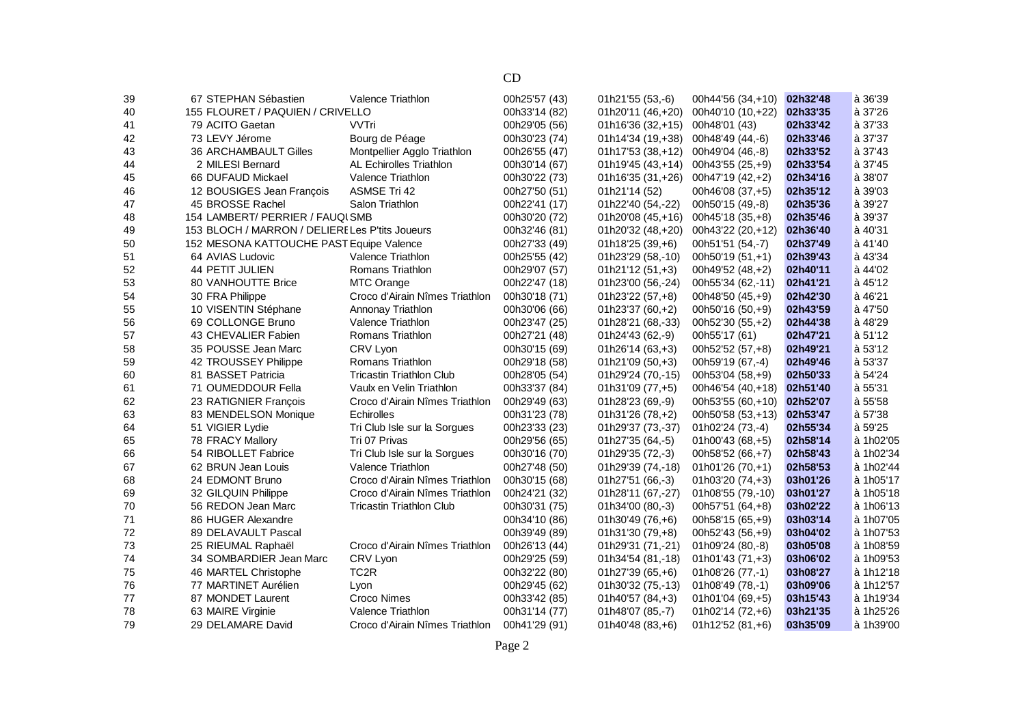| 39 | 67 STEPHAN Sébastien                           | Valence Triathlon               | 00h25'57 (43) | 01h21'55 (53,-6)  | 00h44'56 (34,+10) | 02h32'48 | à 36'39         |
|----|------------------------------------------------|---------------------------------|---------------|-------------------|-------------------|----------|-----------------|
| 40 | 155 FLOURET / PAQUIEN / CRIVELLO               |                                 | 00h33'14 (82) | 01h20'11 (46,+20) | 00h40'10 (10,+22) | 02h33'35 | à 37'26         |
| 41 | 79 ACITO Gaetan                                | VVTri                           | 00h29'05 (56) | 01h16'36 (32,+15) | 00h48'01 (43)     | 02h33'42 | à 37'33         |
| 42 | 73 LEVY Jérome                                 | Bourg de Péage                  | 00h30'23 (74) | 01h14'34 (19,+38) | 00h48'49 (44,-6)  | 02h33'46 | à 37'37         |
| 43 | 36 ARCHAMBAULT Gilles                          | Montpellier Agglo Triathlon     | 00h26'55 (47) | 01h17'53 (38,+12) | 00h49'04 (46,-8)  | 02h33'52 | à 37'43         |
| 44 | 2 MILESI Bernard                               | <b>AL Echirolles Triathlon</b>  | 00h30'14 (67) | 01h19'45 (43,+14) | 00h43'55 (25,+9)  | 02h33'54 | à 37'45         |
| 45 | 66 DUFAUD Mickael                              | Valence Triathlon               | 00h30'22 (73) | 01h16'35 (31,+26) | 00h47'19 (42,+2)  | 02h34'16 | à 38'07         |
| 46 | 12 BOUSIGES Jean François                      | <b>ASMSE Tri 42</b>             | 00h27'50 (51) | 01h21'14 (52)     | 00h46'08 (37,+5)  | 02h35'12 | à 39'03         |
| 47 | 45 BROSSE Rachel                               | Salon Triathlon                 | 00h22'41 (17) | 01h22'40 (54,-22) | 00h50'15 (49,-8)  | 02h35'36 | à 39'27         |
| 48 | 154 LAMBERT/ PERRIER / FAUQI SMB               |                                 | 00h30'20 (72) | 01h20'08 (45,+16) | 00h45'18 (35,+8)  | 02h35'46 | à 39'37         |
| 49 | 153 BLOCH / MARRON / DELIERELes P'tits Joueurs |                                 | 00h32'46 (81) | 01h20'32 (48,+20) | 00h43'22 (20,+12) | 02h36'40 | à 40'31         |
| 50 | 152 MESONA KATTOUCHE PAST Equipe Valence       |                                 | 00h27'33 (49) | 01h18'25 (39,+6)  | 00h51'51 (54,-7)  | 02h37'49 | à 41'40         |
| 51 | 64 AVIAS Ludovic                               | Valence Triathlon               | 00h25'55 (42) | 01h23'29 (58,-10) | 00h50'19 (51,+1)  | 02h39'43 | à 43'34         |
| 52 | 44 PETIT JULIEN                                | Romans Triathlon                | 00h29'07 (57) | $01h21'12(51,+3)$ | 00h49'52 (48,+2)  | 02h40'11 | à 44'02         |
| 53 | 80 VANHOUTTE Brice                             | <b>MTC Orange</b>               | 00h22'47 (18) | 01h23'00 (56,-24) | 00h55'34 (62,-11) | 02h41'21 | $\hat{a}$ 45'12 |
| 54 | 30 FRA Philippe                                | Croco d'Airain Nîmes Triathlon  | 00h30'18 (71) | 01h23'22 (57,+8)  | 00h48'50 (45,+9)  | 02h42'30 | à 46'21         |
| 55 | 10 VISENTIN Stéphane                           | Annonay Triathlon               | 00h30'06 (66) | 01h23'37 (60,+2)  | 00h50'16 (50,+9)  | 02h43'59 | à 47'50         |
| 56 | 69 COLLONGE Bruno                              | Valence Triathlon               | 00h23'47 (25) | 01h28'21 (68,-33) | 00h52'30 (55,+2)  | 02h44'38 | à 48'29         |
| 57 | 43 CHEVALIER Fabien                            | Romans Triathlon                | 00h27'21 (48) | 01h24'43 (62,-9)  | 00h55'17 (61)     | 02h47'21 | à 51'12         |
| 58 | 35 POUSSE Jean Marc                            | CRV Lyon                        | 00h30'15 (69) | $01h26'14(63,+3)$ | 00h52'52 (57,+8)  | 02h49'21 | à 53'12         |
| 59 | 42 TROUSSEY Philippe                           | Romans Triathlon                | 00h29'18 (58) | $01h21'09(50,+3)$ | 00h59'19 (67,-4)  | 02h49'46 | à 53'37         |
| 60 | 81 BASSET Patricia                             | <b>Tricastin Triathlon Club</b> | 00h28'05 (54) | 01h29'24 (70,-15) | 00h53'04 (58,+9)  | 02h50'33 | à 54'24         |
| 61 | 71 OUMEDDOUR Fella                             | Vaulx en Velin Triathlon        | 00h33'37 (84) | 01h31'09 (77,+5)  | 00h46'54 (40,+18) | 02h51'40 | à 55'31         |
| 62 | 23 RATIGNIER Francois                          | Croco d'Airain Nîmes Triathlon  | 00h29'49 (63) | 01h28'23 (69,-9)  | 00h53'55 (60,+10) | 02h52'07 | à 55'58         |
| 63 | 83 MENDELSON Monique                           | <b>Echirolles</b>               | 00h31'23 (78) | 01h31'26 (78,+2)  | 00h50'58 (53,+13) | 02h53'47 | à 57'38         |
| 64 | 51 VIGIER Lydie                                | Tri Club Isle sur la Sorgues    | 00h23'33 (23) | 01h29'37 (73,-37) | 01h02'24 (73,-4)  | 02h55'34 | à 59'25         |
| 65 | 78 FRACY Mallory                               | Tri 07 Privas                   | 00h29'56 (65) | 01h27'35 (64,-5)  | $01h00'43(68,+5)$ | 02h58'14 | à 1h02'05       |
| 66 | 54 RIBOLLET Fabrice                            | Tri Club Isle sur la Sorgues    | 00h30'16 (70) | 01h29'35 (72,-3)  | 00h58'52 (66,+7)  | 02h58'43 | à 1h02'34       |
| 67 | 62 BRUN Jean Louis                             | Valence Triathlon               | 00h27'48 (50) | 01h29'39 (74,-18) | $01h01'26(70,+1)$ | 02h58'53 | à 1h02'44       |
| 68 | 24 EDMONT Bruno                                | Croco d'Airain Nîmes Triathlon  | 00h30'15 (68) | 01h27'51 (66,-3)  | $01h03'20(74,+3)$ | 03h01'26 | à 1h05'17       |
| 69 | 32 GILQUIN Philippe                            | Croco d'Airain Nîmes Triathlon  | 00h24'21 (32) | 01h28'11 (67,-27) | 01h08'55 (79,-10) | 03h01'27 | à 1h05'18       |
| 70 | 56 REDON Jean Marc                             | <b>Tricastin Triathlon Club</b> | 00h30'31 (75) | 01h34'00 (80,-3)  | 00h57'51 (64,+8)  | 03h02'22 | à 1h06'13       |
| 71 | 86 HUGER Alexandre                             |                                 | 00h34'10 (86) | $01h30'49(76,+6)$ | 00h58'15 (65,+9)  | 03h03'14 | à 1h07'05       |
| 72 | 89 DELAVAULT Pascal                            |                                 | 00h39'49 (89) | 01h31'30 (79,+8)  | 00h52'43 (56,+9)  | 03h04'02 | à 1h07'53       |
| 73 | 25 RIEUMAL Raphaël                             | Croco d'Airain Nîmes Triathlon  | 00h26'13 (44) | 01h29'31 (71,-21) | 01h09'24 (80,-8)  | 03h05'08 | à 1h08'59       |
| 74 | 34 SOMBARDIER Jean Marc                        | CRV Lyon                        | 00h29'25 (59) | 01h34'54 (81,-18) | $01h01'43(71,+3)$ | 03h06'02 | à 1h09'53       |
| 75 | 46 MARTEL Christophe                           | TC <sub>2R</sub>                | 00h32'22 (80) | $01h27'39(65,+6)$ | 01h08'26 (77,-1)  | 03h08'27 | à 1h12'18       |
| 76 | 77 MARTINET Aurélien                           | Lyon                            | 00h29'45 (62) | 01h30'32 (75,-13) | 01h08'49 (78,-1)  | 03h09'06 | à 1h12'57       |
| 77 | 87 MONDET Laurent                              | <b>Croco Nimes</b>              | 00h33'42 (85) | $01h40'57(84,+3)$ | $01h01'04(69,+5)$ | 03h15'43 | à 1h19'34       |
| 78 | 63 MAIRE Virginie                              | Valence Triathlon               | 00h31'14 (77) | 01h48'07 (85,-7)  | 01h02'14 (72,+6)  | 03h21'35 | à 1h25'26       |
| 79 | 29 DELAMARE David                              | Croco d'Airain Nîmes Triathlon  | 00h41'29 (91) | 01h40'48 (83,+6)  | 01h12'52 (81,+6)  | 03h35'09 | à 1h39'00       |
|    |                                                |                                 |               |                   |                   |          |                 |